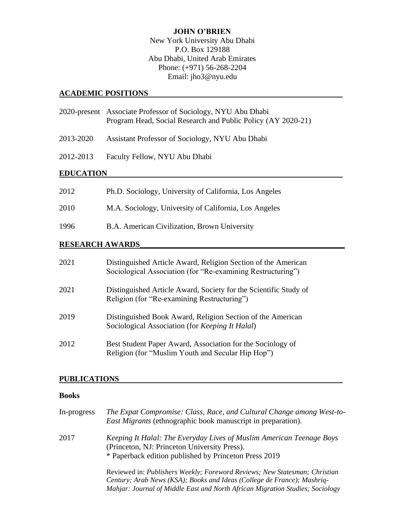# **JOHN O'BRIEN**

New York University Abu Dhabi P.O. Box 129188 Abu Dhabi, United Arab Emirates Phone: (+971) 56-268-2204 Email: jho3@nyu.edu

## **ACADEMIC POSITIONS**

|                  | 2020-present Associate Professor of Sociology, NYU Abu Dhabi<br>Program Head, Social Research and Public Policy (AY 2020-21) |
|------------------|------------------------------------------------------------------------------------------------------------------------------|
| 2013-2020        | Assistant Professor of Sociology, NYU Abu Dhabi                                                                              |
| 2012-2013        | Faculty Fellow, NYU Abu Dhabi                                                                                                |
| <b>EDUCATION</b> |                                                                                                                              |
| 2012             | Ph.D. Sociology, University of California, Los Angeles                                                                       |
| 2010             | M.A. Sociology, University of California, Los Angeles                                                                        |
| 1996             | B.A. American Civilization, Brown University                                                                                 |

# **RESEARCH AWARDS\_\_\_\_\_\_\_\_\_\_\_\_\_\_\_\_\_\_\_\_\_\_\_\_\_\_\_\_\_\_\_\_\_\_\_\_\_\_\_\_\_\_\_\_\_\_\_\_\_\_\_\_**

| 2021 | Distinguished Article Award, Religion Section of the American<br>Sociological Association (for "Re-examining Restructuring") |
|------|------------------------------------------------------------------------------------------------------------------------------|
| 2021 | Distinguished Article Award, Society for the Scientific Study of<br>Religion (for "Re-examining Restructuring")              |
| 2019 | Distinguished Book Award, Religion Section of the American<br>Sociological Association (for <i>Keeping It Halal</i> )        |
| 2012 | Best Student Paper Award, Association for the Sociology of<br>Religion (for "Muslim Youth and Secular Hip Hop")              |

## **PUBLICATIONS**

# **Books**

| In-progress | The Expat Compromise: Class, Race, and Cultural Change among West-to-<br><i>East Migrants</i> (ethnographic book manuscript in preparation).                                                                                           |
|-------------|----------------------------------------------------------------------------------------------------------------------------------------------------------------------------------------------------------------------------------------|
| 2017        | Keeping It Halal: The Everyday Lives of Muslim American Teenage Boys<br>(Princeton, NJ: Princeton University Press).<br>* Paperback edition published by Princeton Press 2019                                                          |
|             | Reviewed in: Publishers Weekly; Foreword Reviews; New Statesman; Christian<br>Century; Arab News (KSA); Books and Ideas (College de France); Mashriq-<br>Mahjar: Journal of Middle East and North African Migration Studies; Sociology |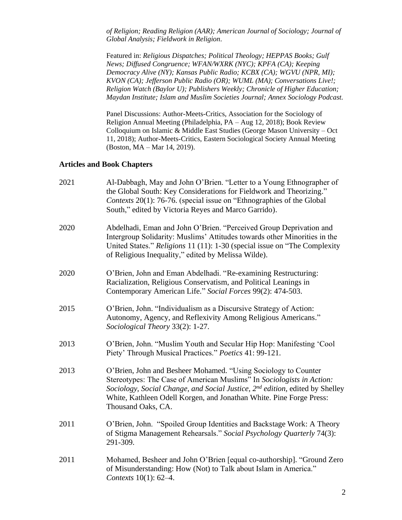*of Religion; Reading Religion (AAR); American Journal of Sociology; Journal of Global Analysis; Fieldwork in Religion*.

Featured in: *Religious Dispatches; Political Theology; HEPPAS Books; Gulf News; Diffused Congruence; WFAN/WXRK (NYC); KPFA (CA); Keeping Democracy Alive (NY); Kansas Public Radio; KCBX (CA); WGVU (NPR, MI); KVON (CA); Jefferson Public Radio (OR); WUML (MA); Conversations Live!; Religion Watch (Baylor U); Publishers Weekly; Chronicle of Higher Education; Maydan Institute; Islam and Muslim Societies Journal; Annex Sociology Podcast.*

Panel Discussions: Author-Meets-Critics, Association for the Sociology of Religion Annual Meeting (Philadelphia, PA – Aug 12, 2018); Book Review Colloquium on Islamic & Middle East Studies (George Mason University – Oct 11, 2018); Author-Meets-Critics, Eastern Sociological Society Annual Meeting (Boston, MA – Mar 14, 2019).

## **Articles and Book Chapters**

| 2021 | Al-Dabbagh, May and John O'Brien. "Letter to a Young Ethnographer of<br>the Global South: Key Considerations for Fieldwork and Theorizing."<br>Contexts 20(1): 76-76. (special issue on "Ethnographies of the Global<br>South," edited by Victoria Reyes and Marco Garrido).                                                     |
|------|----------------------------------------------------------------------------------------------------------------------------------------------------------------------------------------------------------------------------------------------------------------------------------------------------------------------------------|
| 2020 | Abdelhadi, Eman and John O'Brien. "Perceived Group Deprivation and<br>Intergroup Solidarity: Muslims' Attitudes towards other Minorities in the<br>United States." Religions 11 (11): 1-30 (special issue on "The Complexity"<br>of Religious Inequality," edited by Melissa Wilde).                                             |
| 2020 | O'Brien, John and Eman Abdelhadi. "Re-examining Restructuring:<br>Racialization, Religious Conservatism, and Political Leanings in<br>Contemporary American Life." Social Forces 99(2): 474-503.                                                                                                                                 |
| 2015 | O'Brien, John. "Individualism as a Discursive Strategy of Action:<br>Autonomy, Agency, and Reflexivity Among Religious Americans."<br>Sociological Theory 33(2): 1-27.                                                                                                                                                           |
| 2013 | O'Brien, John. "Muslim Youth and Secular Hip Hop: Manifesting 'Cool<br>Piety' Through Musical Practices." Poetics 41: 99-121.                                                                                                                                                                                                    |
| 2013 | O'Brien, John and Besheer Mohamed. "Using Sociology to Counter<br>Stereotypes: The Case of American Muslims" In Sociologists in Action:<br>Sociology, Social Change, and Social Justice, 2 <sup>nd</sup> edition, edited by Shelley<br>White, Kathleen Odell Korgen, and Jonathan White. Pine Forge Press:<br>Thousand Oaks, CA. |
| 2011 | O'Brien, John. "Spoiled Group Identities and Backstage Work: A Theory<br>of Stigma Management Rehearsals." Social Psychology Quarterly 74(3):<br>291-309.                                                                                                                                                                        |
| 2011 | Mohamed, Besheer and John O'Brien [equal co-authorship]. "Ground Zero<br>of Misunderstanding: How (Not) to Talk about Islam in America."<br>Contexts 10(1): 62-4.                                                                                                                                                                |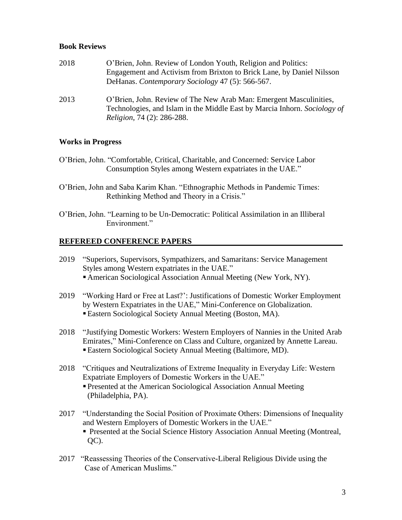## **Book Reviews**

| 2018 | O'Brien, John. Review of London Youth, Religion and Politics:             |
|------|---------------------------------------------------------------------------|
|      | Engagement and Activism from Brixton to Brick Lane, by Daniel Nilsson     |
|      | DeHanas. Contemporary Sociology 47 (5): 566-567.                          |
| 2013 | O'Brien, John. Review of The New Arab Man: Emergent Masculinities,        |
|      | Technologies, and Islam in the Middle East by Marcia Inhorn. Sociology of |
|      | <i>Religion, 74 (2): 286-288.</i>                                         |

## **Works in Progress**

- O'Brien, John. "Comfortable, Critical, Charitable, and Concerned: Service Labor Consumption Styles among Western expatriates in the UAE."
- O'Brien, John and Saba Karim Khan. "Ethnographic Methods in Pandemic Times: Rethinking Method and Theory in a Crisis."
- O'Brien, John. "Learning to be Un-Democratic: Political Assimilation in an Illiberal Environment."

### **REFEREED CONFERENCE PAPERS**

- 2019 "Superiors, Supervisors, Sympathizers, and Samaritans: Service Management Styles among Western expatriates in the UAE." ■ American Sociological Association Annual Meeting (New York, NY).
- 2019 "Working Hard or Free at Last?': Justifications of Domestic Worker Employment by Western Expatriates in the UAE," Mini-Conference on Globalization. ▪Eastern Sociological Society Annual Meeting (Boston, MA).
- 2018 "Justifying Domestic Workers: Western Employers of Nannies in the United Arab Emirates," Mini-Conference on Class and Culture, organized by Annette Lareau. ▪Eastern Sociological Society Annual Meeting (Baltimore, MD).
- 2018 "Critiques and Neutralizations of Extreme Inequality in Everyday Life: Western Expatriate Employers of Domestic Workers in the UAE." **Presented at the American Sociological Association Annual Meeting** (Philadelphia, PA).
- 2017 "Understanding the Social Position of Proximate Others: Dimensions of Inequality and Western Employers of Domestic Workers in the UAE." **• Presented at the Social Science History Association Annual Meeting (Montreal,** QC).
- 2017 "Reassessing Theories of the Conservative-Liberal Religious Divide using the Case of American Muslims."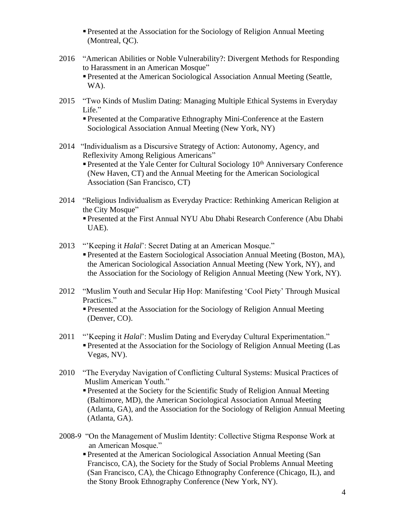**Presented at the Association for the Sociology of Religion Annual Meeting** (Montreal, QC).

- 2016 "American Abilities or Noble Vulnerability?: Divergent Methods for Responding to Harassment in an American Mosque"
	- **Presented at the American Sociological Association Annual Meeting (Seattle,** WA).
- 2015 "Two Kinds of Muslim Dating: Managing Multiple Ethical Systems in Everyday Life."

**Presented at the Comparative Ethnography Mini-Conference at the Eastern** Sociological Association Annual Meeting (New York, NY)

2014 "Individualism as a Discursive Strategy of Action: Autonomy, Agency, and Reflexivity Among Religious Americans"

**Presented at the Yale Center for Cultural Sociology 10th Anniversary Conference** (New Haven, CT) and the Annual Meeting for the American Sociological Association (San Francisco, CT)

- 2014 "Religious Individualism as Everyday Practice: Rethinking American Religion at the City Mosque"
	- Presented at the First Annual NYU Abu Dhabi Research Conference (Abu Dhabi UAE).
- 2013 "'Keeping it *Halal*': Secret Dating at an American Mosque."
	- **Presented at the Eastern Sociological Association Annual Meeting (Boston, MA),** the American Sociological Association Annual Meeting (New York, NY), and the Association for the Sociology of Religion Annual Meeting (New York, NY).
- 2012 "Muslim Youth and Secular Hip Hop: Manifesting 'Cool Piety' Through Musical Practices."
	- **Presented at the Association for the Sociology of Religion Annual Meeting** (Denver, CO).
- 2011 "'Keeping it *Halal*': Muslim Dating and Everyday Cultural Experimentation." **Presented at the Association for the Sociology of Religion Annual Meeting (Las** Vegas, NV).
- 2010 "The Everyday Navigation of Conflicting Cultural Systems: Musical Practices of Muslim American Youth."
	- **Presented at the Society for the Scientific Study of Religion Annual Meeting** (Baltimore, MD), the American Sociological Association Annual Meeting (Atlanta, GA), and the Association for the Sociology of Religion Annual Meeting (Atlanta, GA).
- 2008-9 "On the Management of Muslim Identity: Collective Stigma Response Work at an American Mosque."
	- Presented at the American Sociological Association Annual Meeting (San Francisco, CA), the Society for the Study of Social Problems Annual Meeting (San Francisco, CA), the Chicago Ethnography Conference (Chicago, IL), and the Stony Brook Ethnography Conference (New York, NY).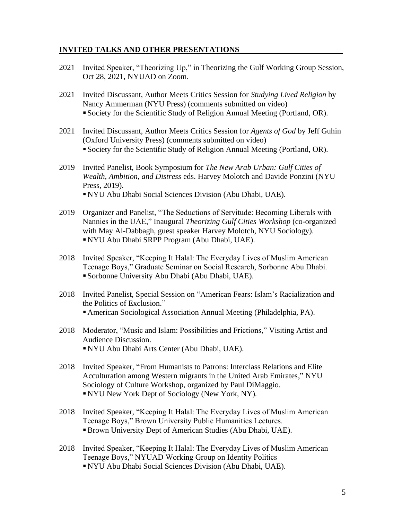## **INVITED TALKS AND OTHER PRESENTATIONS**

- 2021 Invited Speaker, "Theorizing Up," in Theorizing the Gulf Working Group Session, Oct 28, 2021, NYUAD on Zoom.
- 2021 Invited Discussant, Author Meets Critics Session for *Studying Lived Religion* by Nancy Ammerman (NYU Press) (comments submitted on video) ▪ Society for the Scientific Study of Religion Annual Meeting (Portland, OR).
- 2021 Invited Discussant, Author Meets Critics Session for *Agents of God* by Jeff Guhin (Oxford University Press) (comments submitted on video) ▪ Society for the Scientific Study of Religion Annual Meeting (Portland, OR).
- 2019 Invited Panelist, Book Symposium for *The New Arab Urban: Gulf Cities of Wealth, Ambition, and Distress* eds. Harvey Molotch and Davide Ponzini (NYU Press, 2019). ▪ NYU Abu Dhabi Social Sciences Division (Abu Dhabi, UAE).
- 2019 Organizer and Panelist, "The Seductions of Servitude: Becoming Liberals with Nannies in the UAE," Inaugural *Theorizing Gulf Cities Workshop* (co-organized with May Al-Dabbagh, guest speaker Harvey Molotch, NYU Sociology). ▪ NYU Abu Dhabi SRPP Program (Abu Dhabi, UAE).
- 2018 Invited Speaker, "Keeping It Halal: The Everyday Lives of Muslim American Teenage Boys," Graduate Seminar on Social Research, Sorbonne Abu Dhabi. ▪ Sorbonne University Abu Dhabi (Abu Dhabi, UAE).
- 2018 Invited Panelist, Special Session on "American Fears: Islam's Racialization and the Politics of Exclusion." ▪ American Sociological Association Annual Meeting (Philadelphia, PA).
- 2018 Moderator, "Music and Islam: Possibilities and Frictions," Visiting Artist and Audience Discussion. ▪ NYU Abu Dhabi Arts Center (Abu Dhabi, UAE).
- 2018 Invited Speaker, "From Humanists to Patrons: Interclass Relations and Elite Acculturation among Western migrants in the United Arab Emirates," NYU Sociology of Culture Workshop, organized by Paul DiMaggio. ▪ NYU New York Dept of Sociology (New York, NY).
- 2018 Invited Speaker, "Keeping It Halal: The Everyday Lives of Muslim American Teenage Boys," Brown University Public Humanities Lectures. ▪Brown University Dept of American Studies (Abu Dhabi, UAE).
- 2018 Invited Speaker, "Keeping It Halal: The Everyday Lives of Muslim American Teenage Boys," NYUAD Working Group on Identity Politics ▪ NYU Abu Dhabi Social Sciences Division (Abu Dhabi, UAE).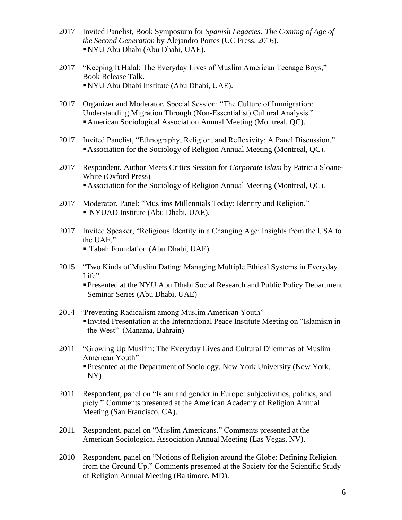- 2017 Invited Panelist, Book Symposium for *Spanish Legacies: The Coming of Age of the Second Generation* by Alejandro Portes (UC Press, 2016). ▪ NYU Abu Dhabi (Abu Dhabi, UAE).
- 2017 "Keeping It Halal: The Everyday Lives of Muslim American Teenage Boys," Book Release Talk. ▪ NYU Abu Dhabi Institute (Abu Dhabi, UAE).
- 2017 Organizer and Moderator, Special Session: "The Culture of Immigration: Understanding Migration Through (Non-Essentialist) Cultural Analysis." ■ American Sociological Association Annual Meeting (Montreal, QC).
- 2017 Invited Panelist, "Ethnography, Religion, and Reflexivity: A Panel Discussion." ▪ Association for the Sociology of Religion Annual Meeting (Montreal, QC).
- 2017 Respondent, Author Meets Critics Session for *Corporate Islam* by Patricia Sloane-White (Oxford Press) ▪ Association for the Sociology of Religion Annual Meeting (Montreal, QC).
- 2017 Moderator, Panel: "Muslims Millennials Today: Identity and Religion." ▪ NYUAD Institute (Abu Dhabi, UAE).
- 2017 Invited Speaker, "Religious Identity in a Changing Age: Insights from the USA to the UAE."

▪ Tabah Foundation (Abu Dhabi, UAE).

2015 "Two Kinds of Muslim Dating: Managing Multiple Ethical Systems in Everyday Life"

▪ Presented at the NYU Abu Dhabi Social Research and Public Policy Department Seminar Series (Abu Dhabi, UAE)

- 2014 "Preventing Radicalism among Muslim American Youth" ▪ Invited Presentation at the International Peace Institute Meeting on "Islamism in the West" (Manama, Bahrain)
- 2011 "Growing Up Muslim: The Everyday Lives and Cultural Dilemmas of Muslim American Youth" ▪ Presented at the Department of Sociology, New York University (New York, NY)
- 2011 Respondent, panel on "Islam and gender in Europe: subjectivities, politics, and piety." Comments presented at the American Academy of Religion Annual Meeting (San Francisco, CA).
- 2011 Respondent, panel on "Muslim Americans." Comments presented at the American Sociological Association Annual Meeting (Las Vegas, NV).
- 2010 Respondent, panel on "Notions of Religion around the Globe: Defining Religion from the Ground Up." Comments presented at the Society for the Scientific Study of Religion Annual Meeting (Baltimore, MD).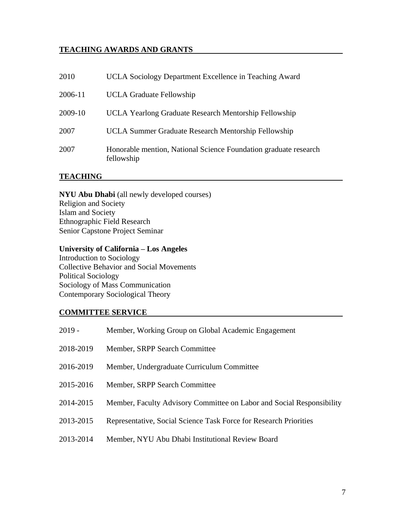# **TEACHING AWARDS AND GRANTS**

| 2010    | UCLA Sociology Department Excellence in Teaching Award                         |
|---------|--------------------------------------------------------------------------------|
| 2006-11 | <b>UCLA Graduate Fellowship</b>                                                |
| 2009-10 | UCLA Yearlong Graduate Research Mentorship Fellowship                          |
| 2007    | UCLA Summer Graduate Research Mentorship Fellowship                            |
| 2007    | Honorable mention, National Science Foundation graduate research<br>fellowship |

## **TEACHING**

**NYU Abu Dhabi** (all newly developed courses) Religion and Society Islam and Society Ethnographic Field Research Senior Capstone Project Seminar

# **University of California – Los Angeles**

Introduction to Sociology Collective Behavior and Social Movements Political Sociology Sociology of Mass Communication Contemporary Sociological Theory

### **COMMITTEE SERVICE**

| $2019 -$  | Member, Working Group on Global Academic Engagement                   |
|-----------|-----------------------------------------------------------------------|
| 2018-2019 | Member, SRPP Search Committee                                         |
| 2016-2019 | Member, Undergraduate Curriculum Committee                            |
| 2015-2016 | Member, SRPP Search Committee                                         |
| 2014-2015 | Member, Faculty Advisory Committee on Labor and Social Responsibility |
| 2013-2015 | Representative, Social Science Task Force for Research Priorities     |
| 2013-2014 | Member, NYU Abu Dhabi Institutional Review Board                      |